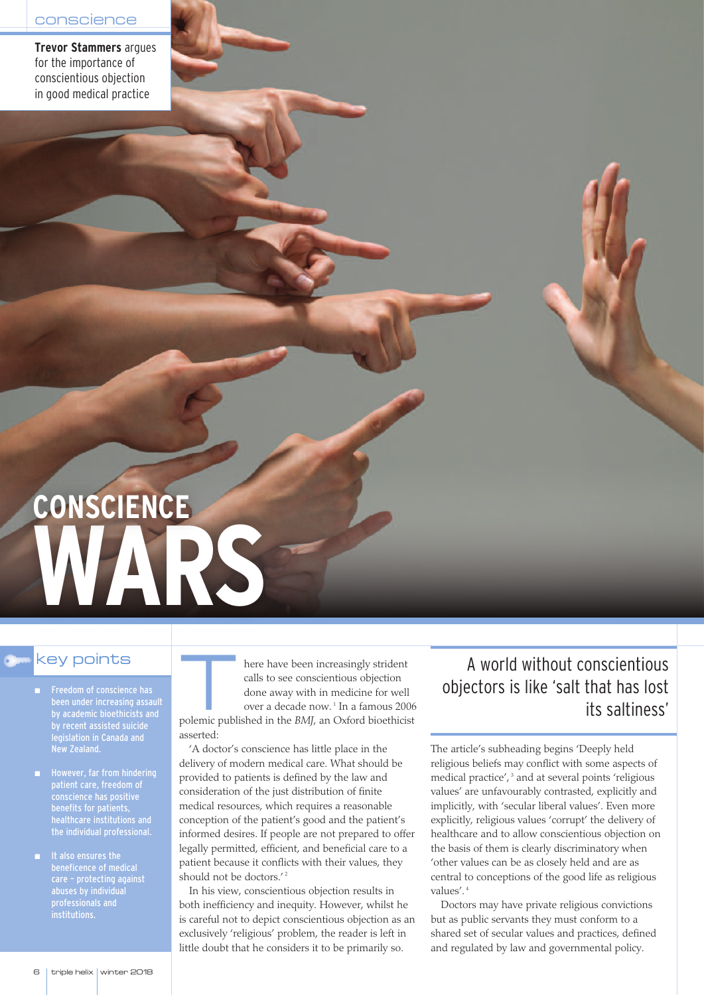**Trevor Stammers** argues for the importance of conscientious objection in good medical practice

# **WARS CONSCIENCE**

# key points

- Freedom of conscience has been under increasing assault by academic bioethicists and by recent assisted suicide legislation in Canada and New Zealand.
- However, far from hindering conscience has positive benefits for patients, healthcare institutions and the individual professional.
- It also ensures the beneficence of medical care – protecting against professionals and institutions.

here have been increasingly strident<br>calls to see conscientious objection<br>done away with in medicine for well<br>over a decade now.<sup>1</sup> In a famous 200 calls to see conscientious objection done away with in medicine for well over a decade now. <sup>1</sup> In a famous 2006 polemic published in the *BMJ*, an Oxford bioethicist asserted:

'A doctor's conscience has little place in the delivery of modern medical care. What should be provided to patients is defined by the law and consideration of the just distribution of finite medical resources, which requires a reasonable conception of the patient's good and the patient's informed desires. If people are not prepared to offer legally permitted, efficient, and beneficial care to a patient because it conflicts with their values, they should not be doctors.' 2

In his view, conscientious objection results in both inefficiency and inequity. However, whilst he is careful not to depict conscientious objection as an exclusively 'religious' problem, the reader is left in little doubt that he considers it to be primarily so.

# A world without conscientious objectors is like 'salt that has lost its saltiness'

The article's subheading begins 'Deeply held religious beliefs may conflict with some aspects of medical practice', <sup>3</sup> and at several points 'religious values' are unfavourably contrasted, explicitly and implicitly, with 'secular liberal values'. Even more explicitly, religious values 'corrupt' the delivery of healthcare and to allow conscientious objection on the basis of them is clearly discriminatory when 'other values can be as closely held and are as central to conceptions of the good life as religious values'. 4

Doctors may have private religious convictions but as public servants they must conform to a shared set of secular values and practices, defined and regulated by law and governmental policy.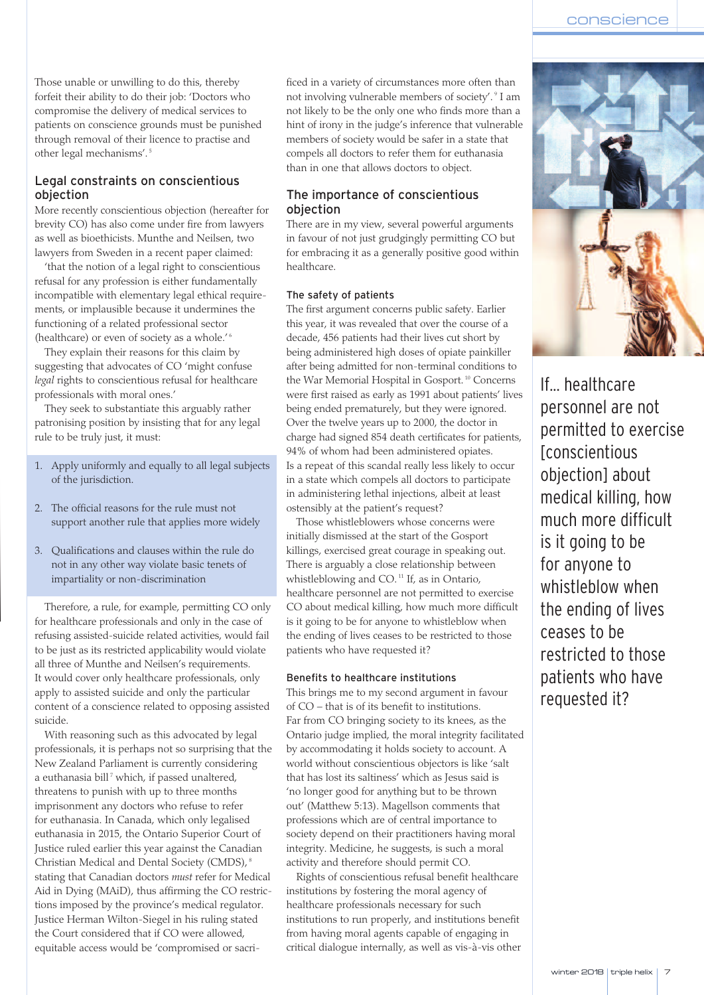Those unable or unwilling to do this, thereby forfeit their ability to do their job: 'Doctors who compromise the delivery of medical services to patients on conscience grounds must be punished through removal of their licence to practise and other legal mechanisms'. 5

## Legal constraints on conscientious objection

More recently conscientious objection (hereafter for brevity CO) has also come under fire from lawyers as well as bioethicists. Munthe and Neilsen, two lawyers from Sweden in a recent paper claimed:

'that the notion of a legal right to conscientious refusal for any profession is either fundamentally incompatible with elementary legal ethical requirements, or implausible because it undermines the functioning of a related professional sector (healthcare) or even of society as a whole.' 6

They explain their reasons for this claim by suggesting that advocates of CO 'might confuse *legal* rights to conscientious refusal for healthcare professionals with moral ones.'

They seek to substantiate this arguably rather patronising position by insisting that for any legal rule to be truly just, it must:

- 1. Apply uniformly and equally to all legal subjects of the jurisdiction.
- 2. The official reasons for the rule must not support another rule that applies more widely
- 3. Qualifications and clauses within the rule do not in any other way violate basic tenets of impartiality or non-discrimination

Therefore, a rule, for example, permitting CO only for healthcare professionals and only in the case of refusing assisted-suicide related activities, would fail to be just as its restricted applicability would violate all three of Munthe and Neilsen's requirements. It would cover only healthcare professionals, only apply to assisted suicide and only the particular content of a conscience related to opposing assisted suicide.

With reasoning such as this advocated by legal professionals, it is perhaps not so surprising that the New Zealand Parliament is currently considering a euthanasia bill <sup>7</sup> which, if passed unaltered, threatens to punish with up to three months imprisonment any doctors who refuse to refer for euthanasia. In Canada, which only legalised euthanasia in 2015, the Ontario Superior Court of Justice ruled earlier this year against the Canadian Christian Medical and Dental Society (CMDS), 8 stating that Canadian doctors *must* refer for Medical Aid in Dying (MAiD), thus affirming the CO restrictions imposed by the province's medical regulator. Justice Herman Wilton-Siegel in his ruling stated the Court considered that if CO were allowed, equitable access would be 'compromised or sacrificed in a variety of circumstances more often than not involving vulnerable members of society'. <sup>9</sup> I am not likely to be the only one who finds more than a hint of irony in the judge's inference that vulnerable members of society would be safer in a state that compels all doctors to refer them for euthanasia than in one that allows doctors to object.

## The importance of conscientious objection

There are in my view, several powerful arguments in favour of not just grudgingly permitting CO but for embracing it as a generally positive good within healthcare.

#### The safety of patients

The first argument concerns public safety. Earlier this year, it was revealed that over the course of a decade, 456 patients had their lives cut short by being administered high doses of opiate painkiller after being admitted for non-terminal conditions to the War Memorial Hospital in Gosport. <sup>10</sup> Concerns were first raised as early as 1991 about patients' lives being ended prematurely, but they were ignored. Over the twelve years up to 2000, the doctor in charge had signed 854 death certificates for patients, 94% of whom had been administered opiates. Is a repeat of this scandal really less likely to occur in a state which compels all doctors to participate in administering lethal injections, albeit at least ostensibly at the patient's request?

Those whistleblowers whose concerns were initially dismissed at the start of the Gosport killings, exercised great courage in speaking out. There is arguably a close relationship between whistleblowing and CO. <sup>11</sup> If, as in Ontario, healthcare personnel are not permitted to exercise CO about medical killing, how much more difficult is it going to be for anyone to whistleblow when the ending of lives ceases to be restricted to those patients who have requested it?

#### Benefits to healthcare institutions

This brings me to my second argument in favour of CO – that is of its benefit to institutions. Far from CO bringing society to its knees, as the Ontario judge implied, the moral integrity facilitated by accommodating it holds society to account. A world without conscientious objectors is like 'salt that has lost its saltiness' which as Jesus said is 'no longer good for anything but to be thrown out' (Matthew 5:13). Magellson comments that professions which are of central importance to society depend on their practitioners having moral integrity. Medicine, he suggests, is such a moral activity and therefore should permit CO.

Rights of conscientious refusal benefit healthcare institutions by fostering the moral agency of healthcare professionals necessary for such institutions to run properly, and institutions benefit from having moral agents capable of engaging in critical dialogue internally, as well as vis-à-vis other



If... healthcare personnel are not permitted to exercise **[conscientious** objection] about medical killing, how much more difficult is it going to be for anyone to whistleblow when the ending of lives ceases to be restricted to those patients who have requested it?